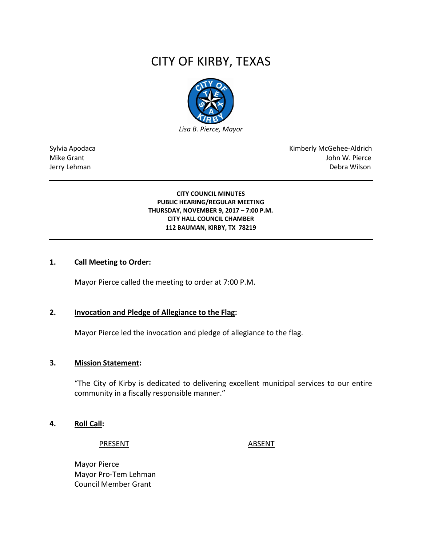# CITY OF KIRBY, TEXAS



Sylvia Apodaca **Kimberly McGehee-Aldrich** Mike Grant John W. Pierce Jerry Lehman Debra Wilson

> **CITY COUNCIL MINUTES PUBLIC HEARING/REGULAR MEETING THURSDAY, NOVEMBER 9, 2017 – 7:00 P.M. CITY HALL COUNCIL CHAMBER 112 BAUMAN, KIRBY, TX 78219**

# **1. Call Meeting to Order:**

Mayor Pierce called the meeting to order at 7:00 P.M.

# **2. Invocation and Pledge of Allegiance to the Flag:**

Mayor Pierce led the invocation and pledge of allegiance to the flag.

#### **3. Mission Statement:**

"The City of Kirby is dedicated to delivering excellent municipal services to our entire community in a fiscally responsible manner."

#### **4. Roll Call:**

PRESENT ABSENT

Mayor Pierce Mayor Pro-Tem Lehman Council Member Grant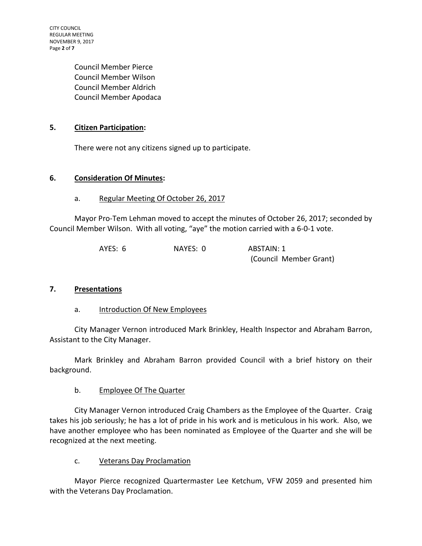CITY COUNCIL REGULAR MEETING NOVEMBER 9, 2017 Page **2** of **7**

> Council Member Pierce Council Member Wilson Council Member Aldrich Council Member Apodaca

# **5. Citizen Participation:**

There were not any citizens signed up to participate.

# **6. Consideration Of Minutes:**

# a. Regular Meeting Of October 26, 2017

Mayor Pro-Tem Lehman moved to accept the minutes of October 26, 2017; seconded by Council Member Wilson. With all voting, "aye" the motion carried with a 6-0-1 vote.

| AYES: 6 | NAYES: 0 | ABSTAIN: 1             |
|---------|----------|------------------------|
|         |          | (Council Member Grant) |

# **7. Presentations**

# a. Introduction Of New Employees

City Manager Vernon introduced Mark Brinkley, Health Inspector and Abraham Barron, Assistant to the City Manager.

Mark Brinkley and Abraham Barron provided Council with a brief history on their background.

# b. Employee Of The Quarter

City Manager Vernon introduced Craig Chambers as the Employee of the Quarter. Craig takes his job seriously; he has a lot of pride in his work and is meticulous in his work. Also, we have another employee who has been nominated as Employee of the Quarter and she will be recognized at the next meeting.

# c. Veterans Day Proclamation

Mayor Pierce recognized Quartermaster Lee Ketchum, VFW 2059 and presented him with the Veterans Day Proclamation.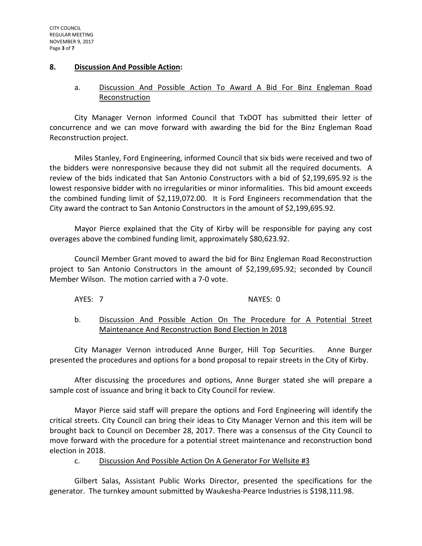#### **8. Discussion And Possible Action:**

# a. Discussion And Possible Action To Award A Bid For Binz Engleman Road Reconstruction

City Manager Vernon informed Council that TxDOT has submitted their letter of concurrence and we can move forward with awarding the bid for the Binz Engleman Road Reconstruction project.

Miles Stanley, Ford Engineering, informed Council that six bids were received and two of the bidders were nonresponsive because they did not submit all the required documents. A review of the bids indicated that San Antonio Constructors with a bid of \$2,199,695.92 is the lowest responsive bidder with no irregularities or minor informalities. This bid amount exceeds the combined funding limit of \$2,119,072.00. It is Ford Engineers recommendation that the City award the contract to San Antonio Constructors in the amount of \$2,199,695.92.

Mayor Pierce explained that the City of Kirby will be responsible for paying any cost overages above the combined funding limit, approximately \$80,623.92.

Council Member Grant moved to award the bid for Binz Engleman Road Reconstruction project to San Antonio Constructors in the amount of \$2,199,695.92; seconded by Council Member Wilson. The motion carried with a 7-0 vote.

#### AYES: 7 NAYES: 0

# b. Discussion And Possible Action On The Procedure for A Potential Street Maintenance And Reconstruction Bond Election In 2018

City Manager Vernon introduced Anne Burger, Hill Top Securities. Anne Burger presented the procedures and options for a bond proposal to repair streets in the City of Kirby.

After discussing the procedures and options, Anne Burger stated she will prepare a sample cost of issuance and bring it back to City Council for review.

Mayor Pierce said staff will prepare the options and Ford Engineering will identify the critical streets. City Council can bring their ideas to City Manager Vernon and this item will be brought back to Council on December 28, 2017. There was a consensus of the City Council to move forward with the procedure for a potential street maintenance and reconstruction bond election in 2018.

# c. Discussion And Possible Action On A Generator For Wellsite #3

Gilbert Salas, Assistant Public Works Director, presented the specifications for the generator. The turnkey amount submitted by Waukesha-Pearce Industries is \$198,111.98.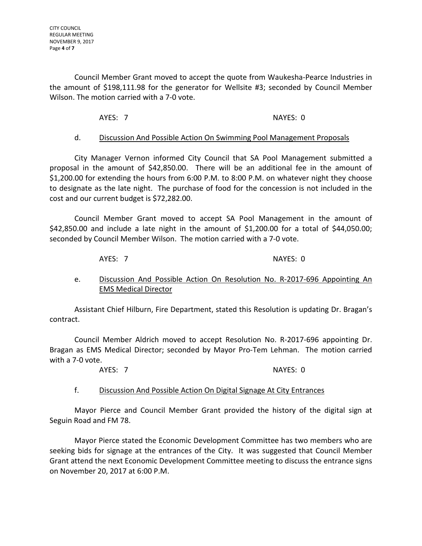Council Member Grant moved to accept the quote from Waukesha-Pearce Industries in the amount of \$198,111.98 for the generator for Wellsite #3; seconded by Council Member Wilson. The motion carried with a 7-0 vote.

AYES: 7 NAYES: 0

#### d. Discussion And Possible Action On Swimming Pool Management Proposals

City Manager Vernon informed City Council that SA Pool Management submitted a proposal in the amount of \$42,850.00. There will be an additional fee in the amount of \$1,200.00 for extending the hours from 6:00 P.M. to 8:00 P.M. on whatever night they choose to designate as the late night. The purchase of food for the concession is not included in the cost and our current budget is \$72,282.00.

Council Member Grant moved to accept SA Pool Management in the amount of \$42,850.00 and include a late night in the amount of \$1,200.00 for a total of \$44,050.00; seconded by Council Member Wilson. The motion carried with a 7-0 vote.

AYES: 7 NAYES: 0

e. Discussion And Possible Action On Resolution No. R-2017-696 Appointing An EMS Medical Director

Assistant Chief Hilburn, Fire Department, stated this Resolution is updating Dr. Bragan's contract.

Council Member Aldrich moved to accept Resolution No. R-2017-696 appointing Dr. Bragan as EMS Medical Director; seconded by Mayor Pro-Tem Lehman. The motion carried with a 7-0 vote.

AYES: 7 NAYES: 0

# f. Discussion And Possible Action On Digital Signage At City Entrances

Mayor Pierce and Council Member Grant provided the history of the digital sign at Seguin Road and FM 78.

Mayor Pierce stated the Economic Development Committee has two members who are seeking bids for signage at the entrances of the City. It was suggested that Council Member Grant attend the next Economic Development Committee meeting to discuss the entrance signs on November 20, 2017 at 6:00 P.M.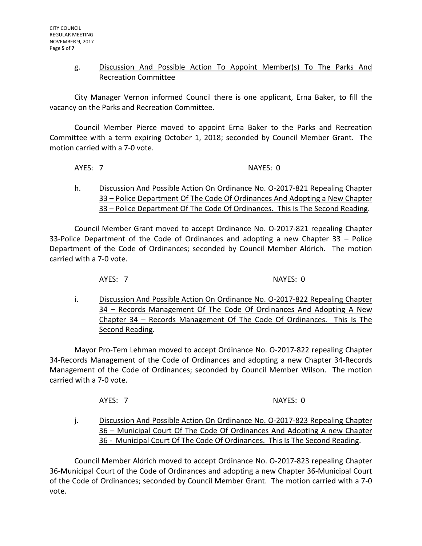# g. Discussion And Possible Action To Appoint Member(s) To The Parks And Recreation Committee

City Manager Vernon informed Council there is one applicant, Erna Baker, to fill the vacancy on the Parks and Recreation Committee.

Council Member Pierce moved to appoint Erna Baker to the Parks and Recreation Committee with a term expiring October 1, 2018; seconded by Council Member Grant. The motion carried with a 7-0 vote.

AYES: 7 NAYES: 0

h. Discussion And Possible Action On Ordinance No. O-2017-821 Repealing Chapter 33 – Police Department Of The Code Of Ordinances And Adopting a New Chapter 33 – Police Department Of The Code Of Ordinances. This Is The Second Reading.

Council Member Grant moved to accept Ordinance No. O-2017-821 repealing Chapter 33-Police Department of the Code of Ordinances and adopting a new Chapter 33 – Police Department of the Code of Ordinances; seconded by Council Member Aldrich. The motion carried with a 7-0 vote.

AYES: 7 NAYES: 0

i. Discussion And Possible Action On Ordinance No. 0-2017-822 Repealing Chapter 34 – Records Management Of The Code Of Ordinances And Adopting A New Chapter 34 – Records Management Of The Code Of Ordinances. This Is The Second Reading.

Mayor Pro-Tem Lehman moved to accept Ordinance No. O-2017-822 repealing Chapter 34-Records Management of the Code of Ordinances and adopting a new Chapter 34-Records Management of the Code of Ordinances; seconded by Council Member Wilson. The motion carried with a 7-0 vote.

AYES: 7 NAYES: 0

j. Discussion And Possible Action On Ordinance No. 0-2017-823 Repealing Chapter 36 – Municipal Court Of The Code Of Ordinances And Adopting A new Chapter 36 - Municipal Court Of The Code Of Ordinances. This Is The Second Reading.

Council Member Aldrich moved to accept Ordinance No. O-2017-823 repealing Chapter 36-Municipal Court of the Code of Ordinances and adopting a new Chapter 36-Municipal Court of the Code of Ordinances; seconded by Council Member Grant. The motion carried with a 7-0 vote.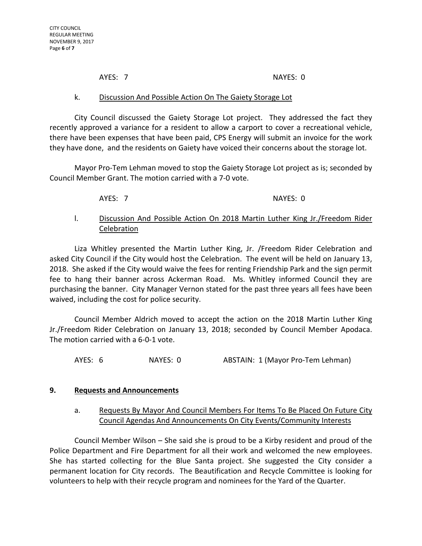AYES: 7 NAYES: 0

#### k. Discussion And Possible Action On The Gaiety Storage Lot

City Council discussed the Gaiety Storage Lot project. They addressed the fact they recently approved a variance for a resident to allow a carport to cover a recreational vehicle, there have been expenses that have been paid, CPS Energy will submit an invoice for the work they have done, and the residents on Gaiety have voiced their concerns about the storage lot.

Mayor Pro-Tem Lehman moved to stop the Gaiety Storage Lot project as is; seconded by Council Member Grant. The motion carried with a 7-0 vote.

AYES: 7 NAYES: 0

# l. Discussion And Possible Action On 2018 Martin Luther King Jr./Freedom Rider Celebration

Liza Whitley presented the Martin Luther King, Jr. /Freedom Rider Celebration and asked City Council if the City would host the Celebration. The event will be held on January 13, 2018. She asked if the City would waive the fees for renting Friendship Park and the sign permit fee to hang their banner across Ackerman Road. Ms. Whitley informed Council they are purchasing the banner. City Manager Vernon stated for the past three years all fees have been waived, including the cost for police security.

Council Member Aldrich moved to accept the action on the 2018 Martin Luther King Jr./Freedom Rider Celebration on January 13, 2018; seconded by Council Member Apodaca. The motion carried with a 6-0-1 vote.

AYES: 6 NAYES: 0 ABSTAIN: 1 (Mayor Pro-Tem Lehman)

# **9. Requests and Announcements**

# a. Requests By Mayor And Council Members For Items To Be Placed On Future City Council Agendas And Announcements On City Events/Community Interests

Council Member Wilson – She said she is proud to be a Kirby resident and proud of the Police Department and Fire Department for all their work and welcomed the new employees. She has started collecting for the Blue Santa project. She suggested the City consider a permanent location for City records. The Beautification and Recycle Committee is looking for volunteers to help with their recycle program and nominees for the Yard of the Quarter.